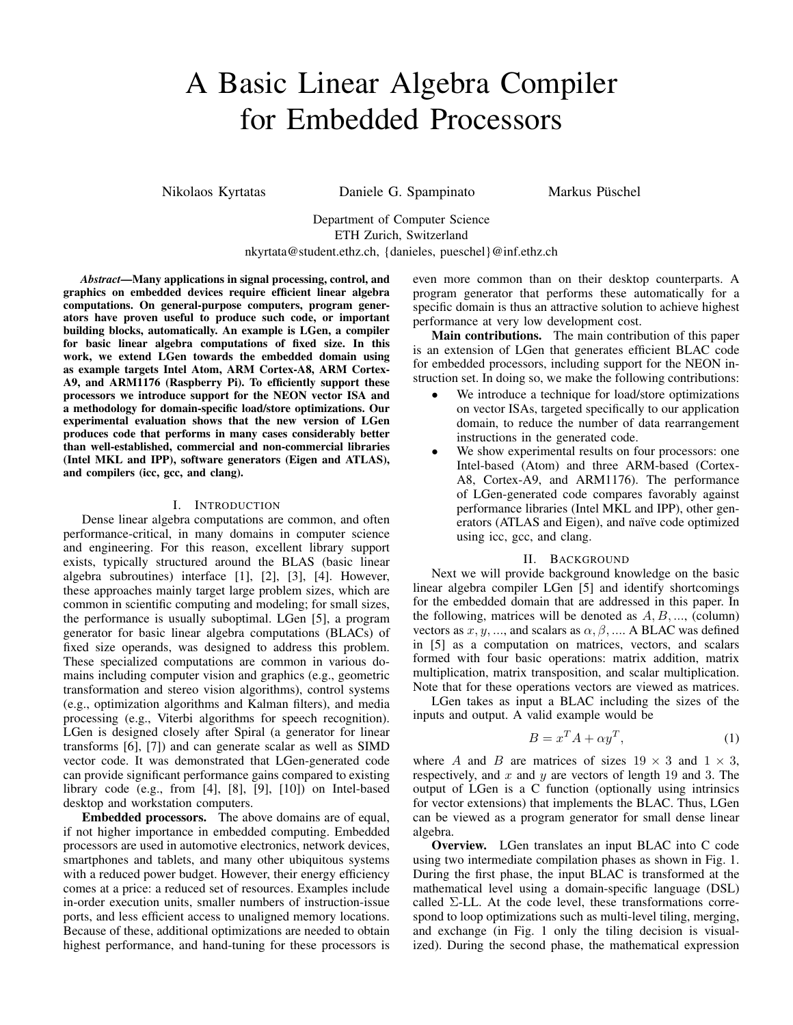# A Basic Linear Algebra Compiler for Embedded Processors

Nikolaos Kyrtatas Daniele G. Spampinato Markus Püschel

Department of Computer Science ETH Zurich, Switzerland nkyrtata@student.ethz.ch, {danieles, pueschel}@inf.ethz.ch

*Abstract*—Many applications in signal processing, control, and graphics on embedded devices require efficient linear algebra computations. On general-purpose computers, program generators have proven useful to produce such code, or important building blocks, automatically. An example is LGen, a compiler for basic linear algebra computations of fixed size. In this work, we extend LGen towards the embedded domain using as example targets Intel Atom, ARM Cortex-A8, ARM Cortex-A9, and ARM1176 (Raspberry Pi). To efficiently support these processors we introduce support for the NEON vector ISA and a methodology for domain-specific load/store optimizations. Our experimental evaluation shows that the new version of LGen produces code that performs in many cases considerably better than well-established, commercial and non-commercial libraries (Intel MKL and IPP), software generators (Eigen and ATLAS), and compilers (icc, gcc, and clang).

### I. INTRODUCTION

Dense linear algebra computations are common, and often performance-critical, in many domains in computer science and engineering. For this reason, excellent library support exists, typically structured around the BLAS (basic linear algebra subroutines) interface [1], [2], [3], [4]. However, these approaches mainly target large problem sizes, which are common in scientific computing and modeling; for small sizes, the performance is usually suboptimal. LGen [5], a program generator for basic linear algebra computations (BLACs) of fixed size operands, was designed to address this problem. These specialized computations are common in various domains including computer vision and graphics (e.g., geometric transformation and stereo vision algorithms), control systems (e.g., optimization algorithms and Kalman filters), and media processing (e.g., Viterbi algorithms for speech recognition). LGen is designed closely after Spiral (a generator for linear transforms [6], [7]) and can generate scalar as well as SIMD vector code. It was demonstrated that LGen-generated code can provide significant performance gains compared to existing library code (e.g., from [4], [8], [9], [10]) on Intel-based desktop and workstation computers.

Embedded processors. The above domains are of equal, if not higher importance in embedded computing. Embedded processors are used in automotive electronics, network devices, smartphones and tablets, and many other ubiquitous systems with a reduced power budget. However, their energy efficiency comes at a price: a reduced set of resources. Examples include in-order execution units, smaller numbers of instruction-issue ports, and less efficient access to unaligned memory locations. Because of these, additional optimizations are needed to obtain highest performance, and hand-tuning for these processors is even more common than on their desktop counterparts. A program generator that performs these automatically for a specific domain is thus an attractive solution to achieve highest performance at very low development cost.

Main contributions. The main contribution of this paper is an extension of LGen that generates efficient BLAC code for embedded processors, including support for the NEON instruction set. In doing so, we make the following contributions:

- We introduce a technique for load/store optimizations on vector ISAs, targeted specifically to our application domain, to reduce the number of data rearrangement instructions in the generated code.
- We show experimental results on four processors: one Intel-based (Atom) and three ARM-based (Cortex-A8, Cortex-A9, and ARM1176). The performance of LGen-generated code compares favorably against performance libraries (Intel MKL and IPP), other generators (ATLAS and Eigen), and naïve code optimized using icc, gcc, and clang.

#### II. BACKGROUND

Next we will provide background knowledge on the basic linear algebra compiler LGen [5] and identify shortcomings for the embedded domain that are addressed in this paper. In the following, matrices will be denoted as  $A, B, \ldots$ , (column) vectors as  $x, y, ...,$  and scalars as  $\alpha, \beta, ...$  A BLAC was defined in [5] as a computation on matrices, vectors, and scalars formed with four basic operations: matrix addition, matrix multiplication, matrix transposition, and scalar multiplication. Note that for these operations vectors are viewed as matrices.

LGen takes as input a BLAC including the sizes of the inputs and output. A valid example would be

$$
B = x^T A + \alpha y^T,\tag{1}
$$

where A and B are matrices of sizes  $19 \times 3$  and  $1 \times 3$ , respectively, and  $x$  and  $y$  are vectors of length 19 and 3. The output of LGen is a C function (optionally using intrinsics for vector extensions) that implements the BLAC. Thus, LGen can be viewed as a program generator for small dense linear algebra.

Overview. LGen translates an input BLAC into C code using two intermediate compilation phases as shown in Fig. 1. During the first phase, the input BLAC is transformed at the mathematical level using a domain-specific language (DSL) called  $\Sigma$ -LL. At the code level, these transformations correspond to loop optimizations such as multi-level tiling, merging, and exchange (in Fig. 1 only the tiling decision is visualized). During the second phase, the mathematical expression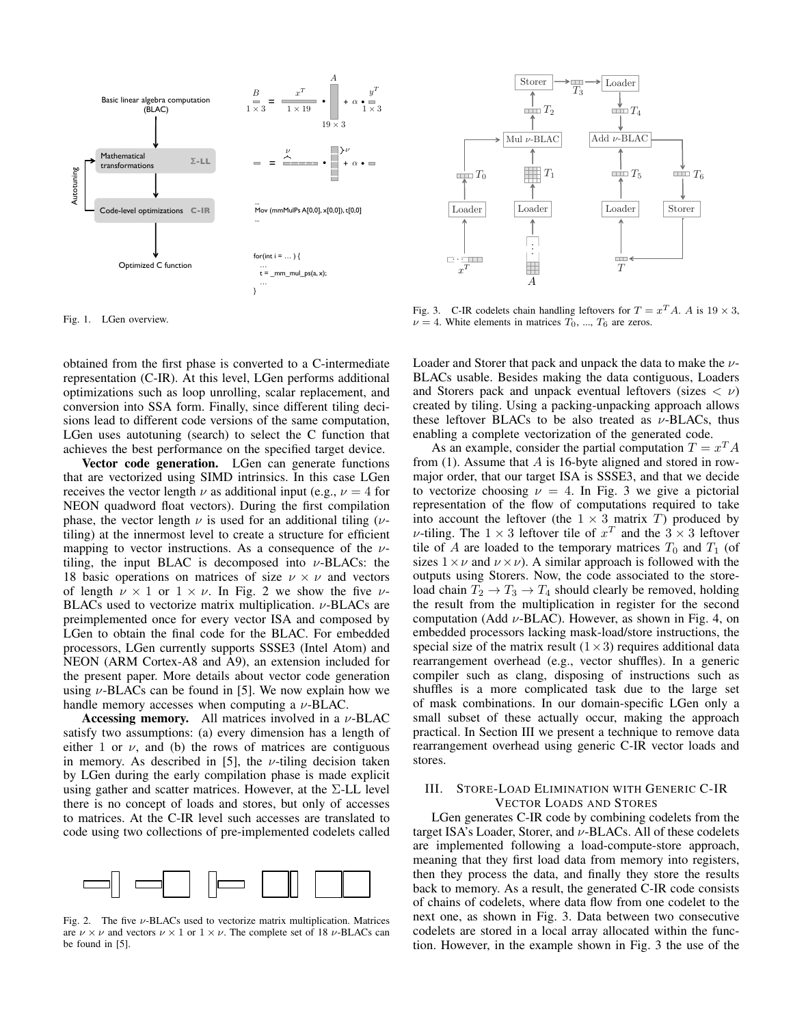

Fig. 1. LGen overview.

Storer  $\rightarrow \rightarrow \rightarrow$  Loader  $T_3$  $\equiv T_2$  $\mathbb{I}$   $T_4$ Add  $\nu$ -BLAC Mul  $\nu$ -BLAC  $T_0$   $T_1$  $\frac{1}{\sqrt{5}}$   $\frac{1}{\sqrt{5}}$   $T_6$ Loader Loader Loader Storer . . .  $\Box \cdot \Box \Box$  $x^{\overline{T}}$  $\frac{1}{\sqrt{2}}$ T A

Fig. 3. C-IR codelets chain handling leftovers for  $T = x^T A$ . A is  $19 \times 3$ ,  $\nu = 4$ . White elements in matrices  $T_0$ , ...,  $T_6$  are zeros.

obtained from the first phase is converted to a C-intermediate representation (C-IR). At this level, LGen performs additional optimizations such as loop unrolling, scalar replacement, and conversion into SSA form. Finally, since different tiling decisions lead to different code versions of the same computation, LGen uses autotuning (search) to select the C function that achieves the best performance on the specified target device.

Vector code generation. LGen can generate functions that are vectorized using SIMD intrinsics. In this case LGen receives the vector length  $\nu$  as additional input (e.g.,  $\nu = 4$  for NEON quadword float vectors). During the first compilation phase, the vector length  $\nu$  is used for an additional tiling ( $\nu$ tiling) at the innermost level to create a structure for efficient mapping to vector instructions. As a consequence of the  $\nu$ tiling, the input BLAC is decomposed into  $\nu$ -BLACs: the 18 basic operations on matrices of size  $\nu \times \nu$  and vectors of length  $\nu \times 1$  or  $1 \times \nu$ . In Fig. 2 we show the five  $\nu$ -BLACs used to vectorize matrix multiplication.  $\nu$ -BLACs are preimplemented once for every vector ISA and composed by LGen to obtain the final code for the BLAC. For embedded processors, LGen currently supports SSSE3 (Intel Atom) and NEON (ARM Cortex-A8 and A9), an extension included for the present paper. More details about vector code generation using  $\nu$ -BLACs can be found in [5]. We now explain how we handle memory accesses when computing a  $\nu$ -BLAC.

**Accessing memory.** All matrices involved in a *ν*-BLAC satisfy two assumptions: (a) every dimension has a length of either 1 or  $\nu$ , and (b) the rows of matrices are contiguous in memory. As described in [5], the  $\nu$ -tiling decision taken by LGen during the early compilation phase is made explicit using gather and scatter matrices. However, at the  $\Sigma$ -LL level there is no concept of loads and stores, but only of accesses to matrices. At the C-IR level such accesses are translated to code using two collections of pre-implemented codelets called



Fig. 2. The five  $\nu$ -BLACs used to vectorize matrix multiplication. Matrices are  $\nu \times \nu$  and vectors  $\nu \times 1$  or  $1 \times \nu$ . The complete set of 18  $\nu$ -BLACs can be found in [5].

Loader and Storer that pack and unpack the data to make the  $\nu$ -BLACs usable. Besides making the data contiguous, Loaders and Storers pack and unpack eventual leftovers (sizes  $\langle \nu \rangle$ ) created by tiling. Using a packing-unpacking approach allows these leftover BLACs to be also treated as  $\nu$ -BLACs, thus enabling a complete vectorization of the generated code.

As an example, consider the partial computation  $T = x^T A$ from (1). Assume that A is 16-byte aligned and stored in rowmajor order, that our target ISA is SSSE3, and that we decide to vectorize choosing  $\nu = 4$ . In Fig. 3 we give a pictorial representation of the flow of computations required to take into account the leftover (the  $1 \times 3$  matrix T) produced by  $\nu$ -tiling. The  $1 \times 3$  leftover tile of  $x^T$  and the  $3 \times 3$  leftover tile of A are loaded to the temporary matrices  $T_0$  and  $T_1$  (of sizes  $1 \times \nu$  and  $\nu \times \nu$ ). A similar approach is followed with the outputs using Storers. Now, the code associated to the storeload chain  $T_2 \rightarrow T_3 \rightarrow T_4$  should clearly be removed, holding the result from the multiplication in register for the second computation (Add  $\nu$ -BLAC). However, as shown in Fig. 4, on embedded processors lacking mask-load/store instructions, the special size of the matrix result  $(1 \times 3)$  requires additional data rearrangement overhead (e.g., vector shuffles). In a generic compiler such as clang, disposing of instructions such as shuffles is a more complicated task due to the large set of mask combinations. In our domain-specific LGen only a small subset of these actually occur, making the approach practical. In Section III we present a technique to remove data rearrangement overhead using generic C-IR vector loads and stores.

# III. STORE-LOAD ELIMINATION WITH GENERIC C-IR VECTOR LOADS AND STORES

LGen generates C-IR code by combining codelets from the target ISA's Loader, Storer, and ν-BLACs. All of these codelets are implemented following a load-compute-store approach, meaning that they first load data from memory into registers, then they process the data, and finally they store the results back to memory. As a result, the generated C-IR code consists of chains of codelets, where data flow from one codelet to the next one, as shown in Fig. 3. Data between two consecutive codelets are stored in a local array allocated within the function. However, in the example shown in Fig. 3 the use of the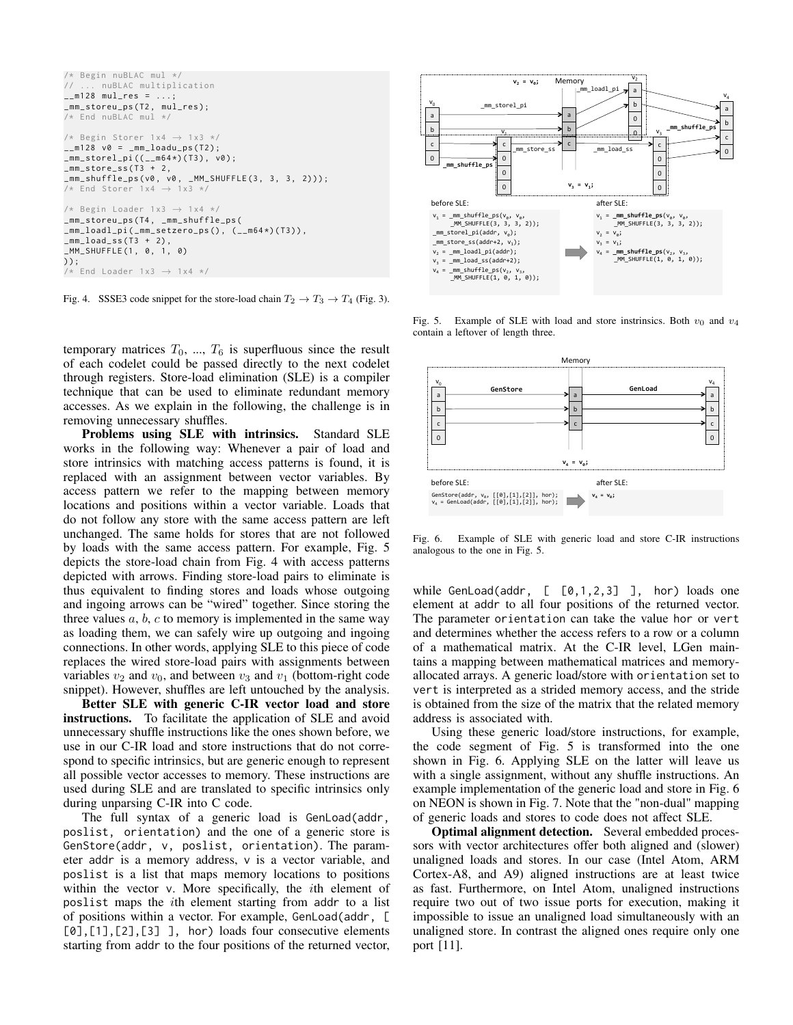```
/* Begin nuBLAC mul */
       .<br>. nuBLAC multiplication
\texttt{__m128} \text{ mul} \texttt{ _res} = \dots;_mm_storeu_ps ( T2 , mul_res ) ;
/* End nuBLAC mul */
/* Begin Storer 1x4 \rightarrow 1x3 */
_{--}m128 v0 = _{mm\_loadu-ps(T2)};
_mm_storel_pi (( __m64 *) ( T3 ) , v0 ) ;
_mm_store_ss ( T3 + 2 ,
_mm_shuffle_ps ( v0 , v0 , _MM_SHUFFLE (3 , 3 , 3 , 2) ) ) ;
/* End Storer 1x4 \rightarrow 1x3 */
/* Begin Loader 1x3 \rightarrow 1x4 */
_mm_storeu_ps ( T4 , _mm_shuffle_ps (
_mm_loadl_pi ( _mm_setzero_ps () , ( __m64 *) ( T3 ) ) ,
mm\_load\_ss(T3 + 2),
_MM_SHUFFLE (1 , 0 , 1 , 0)
) ) ;
/* End Loader 1x3 \rightarrow 1x4 */
```
Fig. 4. SSSE3 code snippet for the store-load chain  $T_2 \rightarrow T_3 \rightarrow T_4$  (Fig. 3).

temporary matrices  $T_0$ , ...,  $T_6$  is superfluous since the result of each codelet could be passed directly to the next codelet through registers. Store-load elimination (SLE) is a compiler technique that can be used to eliminate redundant memory accesses. As we explain in the following, the challenge is in removing unnecessary shuffles.

Problems using SLE with intrinsics. Standard SLE works in the following way: Whenever a pair of load and store intrinsics with matching access patterns is found, it is replaced with an assignment between vector variables. By access pattern we refer to the mapping between memory locations and positions within a vector variable. Loads that do not follow any store with the same access pattern are left unchanged. The same holds for stores that are not followed by loads with the same access pattern. For example, Fig. 5 depicts the store-load chain from Fig. 4 with access patterns depicted with arrows. Finding store-load pairs to eliminate is thus equivalent to finding stores and loads whose outgoing and ingoing arrows can be "wired" together. Since storing the three values  $a, b, c$  to memory is implemented in the same way as loading them, we can safely wire up outgoing and ingoing connections. In other words, applying SLE to this piece of code replaces the wired store-load pairs with assignments between variables  $v_2$  and  $v_0$ , and between  $v_3$  and  $v_1$  (bottom-right code snippet). However, shuffles are left untouched by the analysis.

Better SLE with generic C-IR vector load and store instructions. To facilitate the application of SLE and avoid unnecessary shuffle instructions like the ones shown before, we use in our C-IR load and store instructions that do not correspond to specific intrinsics, but are generic enough to represent all possible vector accesses to memory. These instructions are used during SLE and are translated to specific intrinsics only during unparsing C-IR into C code.

The full syntax of a generic load is GenLoad(addr, poslist, orientation) and the one of a generic store is GenStore(addr, v, poslist, orientation). The parameter addr is a memory address, v is a vector variable, and poslist is a list that maps memory locations to positions within the vector v. More specifically, the ith element of poslist maps the ith element starting from addr to a list of positions within a vector. For example, GenLoad(addr, [  $[0, [1], [2], [3]$ ], hor) loads four consecutive elements starting from addr to the four positions of the returned vector,



Fig. 5. Example of SLE with load and store instrinsics. Both  $v_0$  and  $v_4$ contain a leftover of length three.



Fig. 6. Example of SLE with generic load and store C-IR instructions analogous to the one in Fig. 5.

while GenLoad(addr, [ [0,1,2,3] ], hor) loads one element at addr to all four positions of the returned vector. The parameter orientation can take the value hor or vert and determines whether the access refers to a row or a column of a mathematical matrix. At the C-IR level, LGen maintains a mapping between mathematical matrices and memoryallocated arrays. A generic load/store with orientation set to vert is interpreted as a strided memory access, and the stride is obtained from the size of the matrix that the related memory address is associated with.

Using these generic load/store instructions, for example, the code segment of Fig. 5 is transformed into the one shown in Fig. 6. Applying SLE on the latter will leave us with a single assignment, without any shuffle instructions. An example implementation of the generic load and store in Fig. 6 on NEON is shown in Fig. 7. Note that the "non-dual" mapping of generic loads and stores to code does not affect SLE.

Optimal alignment detection. Several embedded processors with vector architectures offer both aligned and (slower) unaligned loads and stores. In our case (Intel Atom, ARM Cortex-A8, and A9) aligned instructions are at least twice as fast. Furthermore, on Intel Atom, unaligned instructions require two out of two issue ports for execution, making it impossible to issue an unaligned load simultaneously with an unaligned store. In contrast the aligned ones require only one port [11].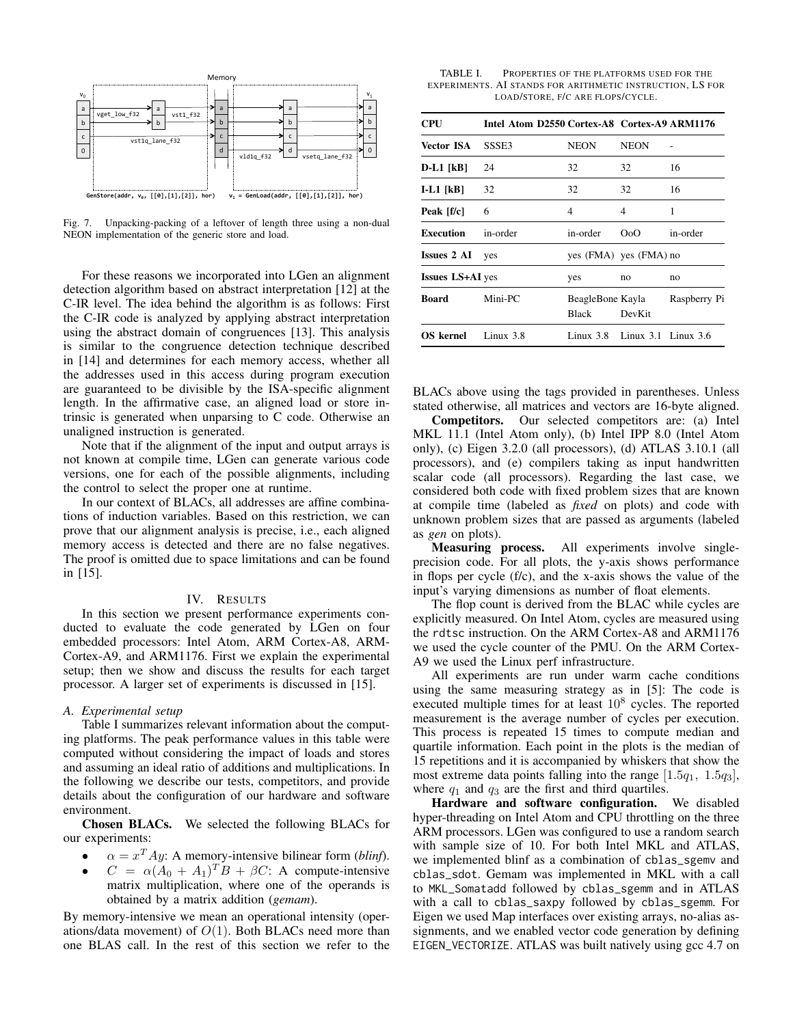

Fig. 7. Unpacking-packing of a leftover of length three using a non-dual NEON implementation of the generic store and load.

For these reasons we incorporated into LGen an alignment detection algorithm based on abstract interpretation [12] at the C-IR level. The idea behind the algorithm is as follows: First the C-IR code is analyzed by applying abstract interpretation using the abstract domain of congruences [13]. This analysis is similar to the congruence detection technique described in [14] and determines for each memory access, whether all the addresses used in this access during program execution are guaranteed to be divisible by the ISA-specific alignment length. In the affirmative case, an aligned load or store intrinsic is generated when unparsing to C code. Otherwise an unaligned instruction is generated.

Note that if the alignment of the input and output arrays is not known at compile time, LGen can generate various code versions, one for each of the possible alignments, including the control to select the proper one at runtime.

In our context of BLACs, all addresses are affine combinations of induction variables. Based on this restriction, we can prove that our alignment analysis is precise, i.e., each aligned memory access is detected and there are no false negatives. The proof is omitted due to space limitations and can be found in [15].

#### IV. RESULTS

In this section we present performance experiments conducted to evaluate the code generated by LGen on four embedded processors: Intel Atom, ARM Cortex-A8, ARM-Cortex-A9, and ARM1176. First we explain the experimental setup; then we show and discuss the results for each target processor. A larger set of experiments is discussed in [15].

# *A. Experimental setup*

Table I summarizes relevant information about the computing platforms. The peak performance values in this table were computed without considering the impact of loads and stores and assuming an ideal ratio of additions and multiplications. In the following we describe our tests, competitors, and provide details about the configuration of our hardware and software environment.

Chosen BLACs. We selected the following BLACs for our experiments:

- $\alpha = x^T A y$ : A memory-intensive bilinear form (*blinf*).
- $C = \alpha (A_0 + A_1)^T B + \beta C$ : A compute-intensive matrix multiplication, where one of the operands is obtained by a matrix addition (*gemam*).

By memory-intensive we mean an operational intensity (operations/data movement) of  $O(1)$ . Both BLACs need more than one BLAS call. In the rest of this section we refer to the

TABLE I. PROPERTIES OF THE PLATFORMS USED FOR THE EXPERIMENTS. AI STANDS FOR ARITHMETIC INSTRUCTION, LS FOR LOAD/STORE, F/C ARE FLOPS/CYCLE.

| CPU                     | Intel Atom D2550 Cortex-A8 Cortex-A9 ARM1176 |                                     |             |              |
|-------------------------|----------------------------------------------|-------------------------------------|-------------|--------------|
| Vector ISA              | SSSE3                                        | <b>NEON</b>                         | <b>NEON</b> |              |
| $D-L1$ [kB]             | 24                                           | 32                                  | 32          | 16           |
| $L1$ $[kB]$             | 32                                           | 32                                  | 32          | 16           |
| Peak [f/c]              | 6                                            | 4                                   | 4           | 1            |
| <b>Execution</b>        | in-order                                     | in-order                            | 0oO         | in-order     |
| <b>Issues 2 AI</b> yes  |                                              | yes (FMA) yes (FMA) no              |             |              |
| <b>Issues LS+AI</b> yes |                                              | yes                                 | no          | no           |
| Board                   | Mini-PC                                      | BeagleBone Kayla<br>Black           | DevKit      | Raspberry Pi |
| <b>OS</b> kernel        | Linux $3.8$                                  | Linux $3.8$ Linux $3.1$ Linux $3.6$ |             |              |

BLACs above using the tags provided in parentheses. Unless stated otherwise, all matrices and vectors are 16-byte aligned.

Competitors. Our selected competitors are: (a) Intel MKL 11.1 (Intel Atom only), (b) Intel IPP 8.0 (Intel Atom only), (c) Eigen 3.2.0 (all processors), (d) ATLAS 3.10.1 (all processors), and (e) compilers taking as input handwritten scalar code (all processors). Regarding the last case, we considered both code with fixed problem sizes that are known at compile time (labeled as *fixed* on plots) and code with unknown problem sizes that are passed as arguments (labeled as *gen* on plots).

Measuring process. All experiments involve singleprecision code. For all plots, the y-axis shows performance in flops per cycle (f/c), and the x-axis shows the value of the input's varying dimensions as number of float elements.

The flop count is derived from the BLAC while cycles are explicitly measured. On Intel Atom, cycles are measured using the rdtsc instruction. On the ARM Cortex-A8 and ARM1176 we used the cycle counter of the PMU. On the ARM Cortex-A9 we used the Linux perf infrastructure.

All experiments are run under warm cache conditions using the same measuring strategy as in [5]: The code is executed multiple times for at least  $10^8$  cycles. The reported measurement is the average number of cycles per execution. This process is repeated 15 times to compute median and quartile information. Each point in the plots is the median of 15 repetitions and it is accompanied by whiskers that show the most extreme data points falling into the range  $[1.5q_1, 1.5q_3]$ , where  $q_1$  and  $q_3$  are the first and third quartiles.

Hardware and software configuration. We disabled hyper-threading on Intel Atom and CPU throttling on the three ARM processors. LGen was configured to use a random search with sample size of 10. For both Intel MKL and ATLAS, we implemented blinf as a combination of cblas\_sgemv and cblas\_sdot. Gemam was implemented in MKL with a call to MKL\_Somatadd followed by cblas\_sgemm and in ATLAS with a call to cblas\_saxpy followed by cblas\_sgemm. For Eigen we used Map interfaces over existing arrays, no-alias assignments, and we enabled vector code generation by defining EIGEN\_VECTORIZE. ATLAS was built natively using gcc 4.7 on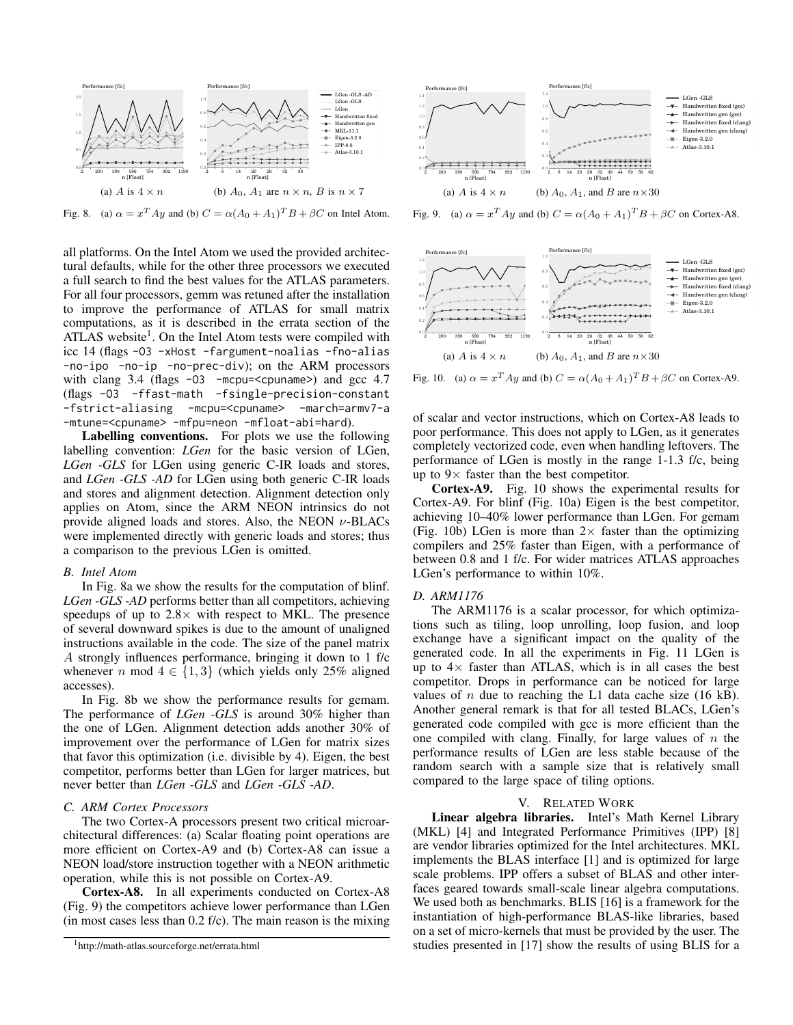

Fig. 8. (a)  $\alpha = x^T A y$  and (b)  $C = \alpha (A_0 + A_1)^T B + \beta C$  on Intel Atom.

all platforms. On the Intel Atom we used the provided architectural defaults, while for the other three processors we executed a full search to find the best values for the ATLAS parameters. For all four processors, gemm was retuned after the installation to improve the performance of ATLAS for small matrix computations, as it is described in the errata section of the ATLAS website<sup>1</sup>. On the Intel Atom tests were compiled with icc 14 (flags -O3 -xHost -fargument-noalias -fno-alias -no-ipo -no-ip -no-prec-div); on the ARM processors with clang  $3.4$  (flags  $-03$  -mcpu= $\langle$ cpuname $\rangle$ ) and gcc  $4.7$ (flags -O3 -ffast-math -fsingle-precision-constant -fstrict-aliasing -mcpu=<cpuname> -march=armv7-a -mtune=<cpuname> -mfpu=neon -mfloat-abi=hard).

Labelling conventions. For plots we use the following labelling convention: *LGen* for the basic version of LGen, *LGen -GLS* for LGen using generic C-IR loads and stores, and *LGen -GLS -AD* for LGen using both generic C-IR loads and stores and alignment detection. Alignment detection only applies on Atom, since the ARM NEON intrinsics do not provide aligned loads and stores. Also, the NEON  $\nu$ -BLACs were implemented directly with generic loads and stores; thus a comparison to the previous LGen is omitted.

#### *B. Intel Atom*

In Fig. 8a we show the results for the computation of blinf. *LGen -GLS -AD* performs better than all competitors, achieving speedups of up to  $2.8\times$  with respect to MKL. The presence of several downward spikes is due to the amount of unaligned instructions available in the code. The size of the panel matrix A strongly influences performance, bringing it down to 1 f/c whenever n mod  $4 \in \{1,3\}$  (which yields only 25% aligned accesses).

In Fig. 8b we show the performance results for gemam. The performance of *LGen -GLS* is around 30% higher than the one of LGen. Alignment detection adds another 30% of improvement over the performance of LGen for matrix sizes that favor this optimization (i.e. divisible by 4). Eigen, the best competitor, performs better than LGen for larger matrices, but never better than *LGen -GLS* and *LGen -GLS -AD*.

# *C. ARM Cortex Processors*

The two Cortex-A processors present two critical microarchitectural differences: (a) Scalar floating point operations are more efficient on Cortex-A9 and (b) Cortex-A8 can issue a NEON load/store instruction together with a NEON arithmetic operation, while this is not possible on Cortex-A9.

Cortex-A8. In all experiments conducted on Cortex-A8 (Fig. 9) the competitors achieve lower performance than LGen (in most cases less than 0.2 f/c). The main reason is the mixing



Fig. 9. (a)  $\alpha = x^T A y$  and (b)  $C = \alpha (A_0 + A_1)^T B + \beta C$  on Cortex-A8.



Fig. 10. (a)  $\alpha = x^T A y$  and (b)  $C = \alpha (A_0 + A_1)^T B + \beta C$  on Cortex-A9.

of scalar and vector instructions, which on Cortex-A8 leads to poor performance. This does not apply to LGen, as it generates completely vectorized code, even when handling leftovers. The performance of LGen is mostly in the range 1-1.3 f/c, being up to  $9\times$  faster than the best competitor.

Cortex-A9. Fig. 10 shows the experimental results for Cortex-A9. For blinf (Fig. 10a) Eigen is the best competitor, achieving 10–40% lower performance than LGen. For gemam (Fig. 10b) LGen is more than  $2 \times$  faster than the optimizing compilers and 25% faster than Eigen, with a performance of between 0.8 and 1 f/c. For wider matrices ATLAS approaches LGen's performance to within 10%.

#### *D. ARM1176*

The ARM1176 is a scalar processor, for which optimizations such as tiling, loop unrolling, loop fusion, and loop exchange have a significant impact on the quality of the generated code. In all the experiments in Fig. 11 LGen is up to  $4\times$  faster than ATLAS, which is in all cases the best competitor. Drops in performance can be noticed for large values of  $n$  due to reaching the L1 data cache size (16 kB). Another general remark is that for all tested BLACs, LGen's generated code compiled with gcc is more efficient than the one compiled with clang. Finally, for large values of  $n$  the performance results of LGen are less stable because of the random search with a sample size that is relatively small compared to the large space of tiling options.

## V. RELATED WORK

Linear algebra libraries. Intel's Math Kernel Library (MKL) [4] and Integrated Performance Primitives (IPP) [8] are vendor libraries optimized for the Intel architectures. MKL implements the BLAS interface [1] and is optimized for large scale problems. IPP offers a subset of BLAS and other interfaces geared towards small-scale linear algebra computations. We used both as benchmarks. BLIS [16] is a framework for the instantiation of high-performance BLAS-like libraries, based on a set of micro-kernels that must be provided by the user. The studies presented in [17] show the results of using BLIS for a

<sup>1</sup>http://math-atlas.sourceforge.net/errata.html